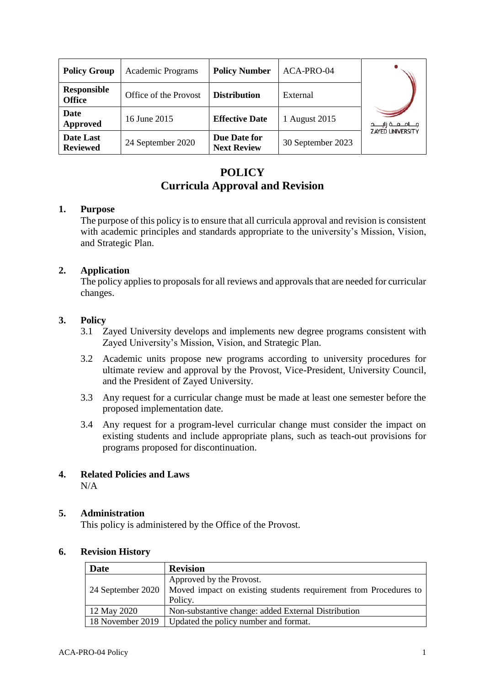| <b>Policy Group</b>                 | Academic Programs     | <b>Policy Number</b>               | ACA-PRO-04        |                           |
|-------------------------------------|-----------------------|------------------------------------|-------------------|---------------------------|
| <b>Responsible</b><br><b>Office</b> | Office of the Provost | <b>Distribution</b>                | External          |                           |
| Date<br>Approved                    | 16 June 2015          | <b>Effective Date</b>              | 1 August 2015     | مــــامـــعـــة زايـــــد |
| Date Last<br><b>Reviewed</b>        | 24 September 2020     | Due Date for<br><b>Next Review</b> | 30 September 2023 | <b>ZAYED UNIVERSITY</b>   |

# **POLICY Curricula Approval and Revision**

### **1. Purpose**

The purpose of this policy is to ensure that all curricula approval and revision is consistent with academic principles and standards appropriate to the university's Mission, Vision, and Strategic Plan.

# **2. Application**

The policy applies to proposals for all reviews and approvals that are needed for curricular changes.

### **3. Policy**

- 3.1 Zayed University develops and implements new degree programs consistent with Zayed University's Mission, Vision, and Strategic Plan.
- 3.2 Academic units propose new programs according to university procedures for ultimate review and approval by the Provost, Vice-President, University Council, and the President of Zayed University.
- 3.3 Any request for a curricular change must be made at least one semester before the proposed implementation date.
- 3.4 Any request for a program-level curricular change must consider the impact on existing students and include appropriate plans, such as teach-out provisions for programs proposed for discontinuation.

# **4. Related Policies and Laws**

N/A

# **5. Administration**

This policy is administered by the Office of the Provost.

#### **6. Revision History**

| <b>Date</b>      | <b>Revision</b>                                                                      |  |  |
|------------------|--------------------------------------------------------------------------------------|--|--|
|                  | Approved by the Provost.                                                             |  |  |
|                  | 24 September 2020   Moved impact on existing students requirement from Procedures to |  |  |
|                  | Policy.                                                                              |  |  |
| 12 May 2020      | Non-substantive change: added External Distribution                                  |  |  |
| 18 November 2019 | Updated the policy number and format.                                                |  |  |